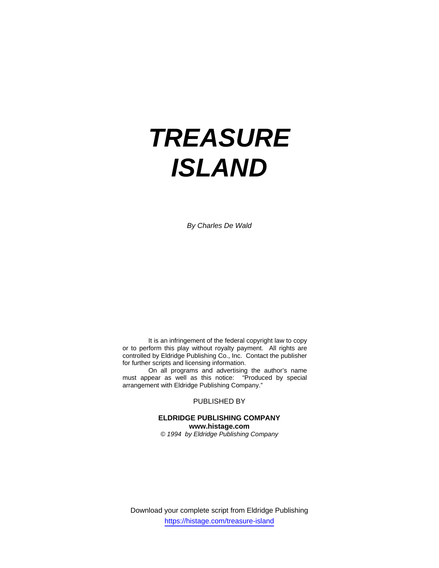# *TREASURE ISLAND*

*By Charles De Wald* 

 It is an infringement of the federal copyright law to copy or to perform this play without royalty payment. All rights are controlled by Eldridge Publishing Co., Inc. Contact the publisher for further scripts and licensing information.

 On all programs and advertising the author's name must appear as well as this notice: "Produced by special arrangement with Eldridge Publishing Company."

PUBLISHED BY

# **ELDRIDGE PUBLISHING COMPANY www.histage.com**

*© 1994 by Eldridge Publishing Company* 

Download your complete script from Eldridge Publishing https://histage.com/treasure-island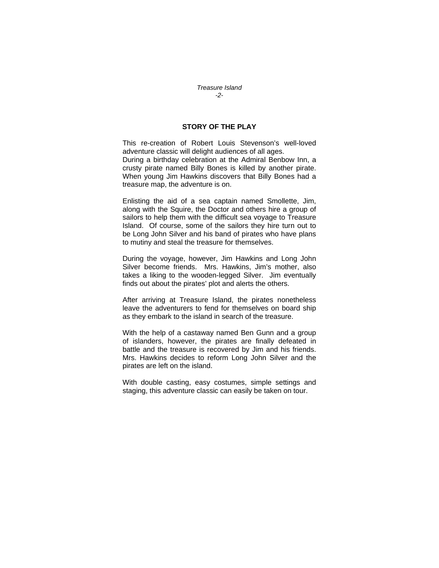#### *Treasure Island -2-*

### **STORY OF THE PLAY**

This re-creation of Robert Louis Stevenson's well-loved adventure classic will delight audiences of all ages. During a birthday celebration at the Admiral Benbow Inn, a crusty pirate named Billy Bones is killed by another pirate. When young Jim Hawkins discovers that Billy Bones had a treasure map, the adventure is on.

Enlisting the aid of a sea captain named Smollette, Jim, along with the Squire, the Doctor and others hire a group of sailors to help them with the difficult sea voyage to Treasure Island. Of course, some of the sailors they hire turn out to be Long John Silver and his band of pirates who have plans to mutiny and steal the treasure for themselves.

During the voyage, however, Jim Hawkins and Long John Silver become friends. Mrs. Hawkins, Jim's mother, also takes a liking to the wooden-legged Silver. Jim eventually finds out about the pirates' plot and alerts the others.

After arriving at Treasure Island, the pirates nonetheless leave the adventurers to fend for themselves on board ship as they embark to the island in search of the treasure.

With the help of a castaway named Ben Gunn and a group of islanders, however, the pirates are finally defeated in battle and the treasure is recovered by Jim and his friends. Mrs. Hawkins decides to reform Long John Silver and the pirates are left on the island.

With double casting, easy costumes, simple settings and staging, this adventure classic can easily be taken on tour.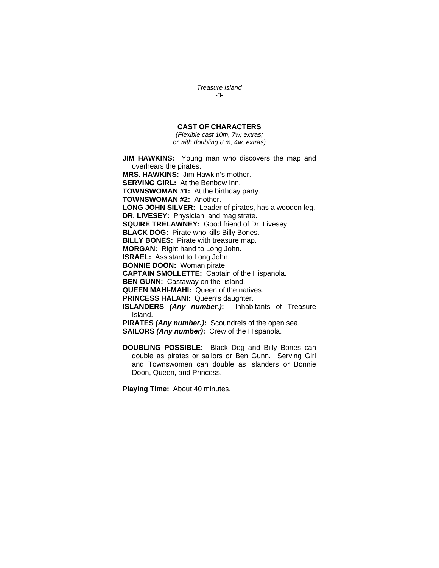*Treasure Island -3-* 

## **CAST OF CHARACTERS**

*(Flexible cast 10m, 7w; extras; or with doubling 8 m, 4w, extras)* 

**JIM HAWKINS:** Young man who discovers the map and overhears the pirates. **MRS. HAWKINS:** Jim Hawkin's mother. **SERVING GIRL:** At the Benbow Inn. **TOWNSWOMAN #1:** At the birthday party. **TOWNSWOMAN #2:** Another. **LONG JOHN SILVER:** Leader of pirates, has a wooden leg. **DR. LIVESEY:** Physician and magistrate. **SQUIRE TRELAWNEY:** Good friend of Dr. Livesey. **BLACK DOG:** Pirate who kills Billy Bones. **BILLY BONES:** Pirate with treasure map. **MORGAN:** Right hand to Long John. **ISRAEL:** Assistant to Long John. **BONNIE DOON:** Woman pirate. **CAPTAIN SMOLLETTE:** Captain of the Hispanola. **BEN GUNN:** Castaway on the island. **QUEEN MAHI-MAHI:** Queen of the natives. **PRINCESS HALANI:** Queen's daughter. **ISLANDERS** *(Any number.)***:**Inhabitants of Treasure Island. **PIRATES** *(Any number.)***:**Scoundrels of the open sea. **SAILORS** *(Any number)***:**Crew of the Hispanola.

**DOUBLING POSSIBLE:** Black Dog and Billy Bones can double as pirates or sailors or Ben Gunn. Serving Girl and Townswomen can double as islanders or Bonnie Doon, Queen, and Princess.

**Playing Time:** About 40 minutes.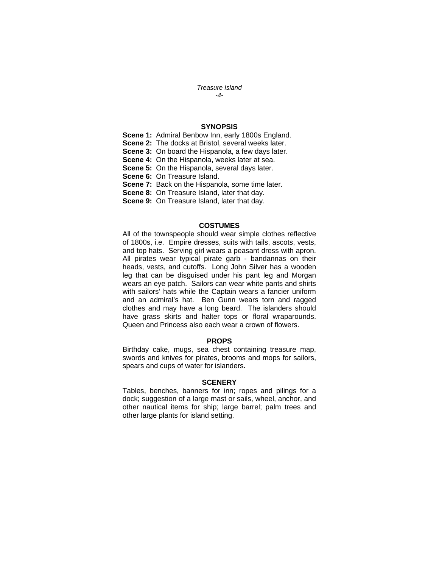#### *Treasure Island -4-*

## **SYNOPSIS**

**Scene 1:** Admiral Benbow Inn, early 1800s England.

**Scene 2:** The docks at Bristol, several weeks later.

**Scene 3:** On board the Hispanola, a few days later.

**Scene 4:** On the Hispanola, weeks later at sea.

**Scene 5:** On the Hispanola, several days later.

**Scene 6:** On Treasure Island.

**Scene 7:** Back on the Hispanola, some time later.

**Scene 8:** On Treasure Island, later that day.

**Scene 9:** On Treasure Island, later that day.

#### **COSTUMES**

All of the townspeople should wear simple clothes reflective of 1800s, i.e. Empire dresses, suits with tails, ascots, vests, and top hats. Serving girl wears a peasant dress with apron. All pirates wear typical pirate garb - bandannas on their heads, vests, and cutoffs. Long John Silver has a wooden leg that can be disguised under his pant leg and Morgan wears an eye patch. Sailors can wear white pants and shirts with sailors' hats while the Captain wears a fancier uniform and an admiral's hat. Ben Gunn wears torn and ragged clothes and may have a long beard. The islanders should have grass skirts and halter tops or floral wraparounds. Queen and Princess also each wear a crown of flowers.

#### **PROPS**

Birthday cake, mugs, sea chest containing treasure map, swords and knives for pirates, brooms and mops for sailors, spears and cups of water for islanders.

#### **SCENERY**

Tables, benches, banners for inn; ropes and pilings for a dock; suggestion of a large mast or sails, wheel, anchor, and other nautical items for ship; large barrel; palm trees and other large plants for island setting.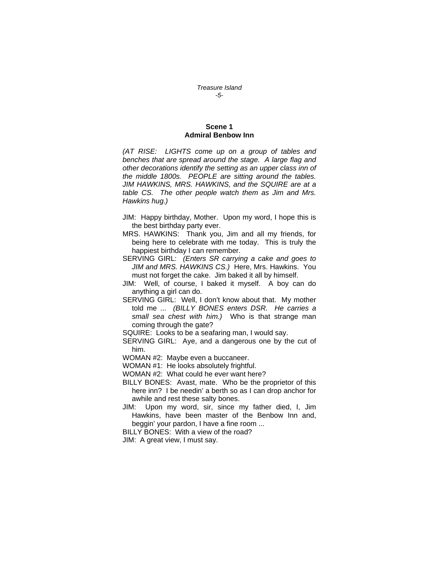#### *Treasure Island -5-*

#### **Scene 1 Admiral Benbow Inn**

*(AT RISE: LIGHTS come up on a group of tables and benches that are spread around the stage. A large flag and other decorations identify the setting as an upper class inn of the middle 1800s. PEOPLE are sitting around the tables. JIM HAWKINS, MRS. HAWKINS, and the SQUIRE are at a table CS. The other people watch them as Jim and Mrs. Hawkins hug.)* 

- JIM: Happy birthday, Mother. Upon my word, I hope this is the best birthday party ever.
- MRS. HAWKINS: Thank you, Jim and all my friends, for being here to celebrate with me today. This is truly the happiest birthday I can remember.
- SERVING GIRL: *(Enters SR carrying a cake and goes to JIM and MRS. HAWKINS CS.)* Here, Mrs. Hawkins. You must not forget the cake. Jim baked it all by himself.
- JIM: Well, of course, I baked it myself. A boy can do anything a girl can do.
- SERVING GIRL: Well, I don't know about that. My mother told me ... *(BILLY BONES enters DSR. He carries a small sea chest with him.)* Who is that strange man coming through the gate?
- SQUIRE: Looks to be a seafaring man, I would say.
- SERVING GIRL: Aye, and a dangerous one by the cut of him.
- WOMAN #2: Maybe even a buccaneer.
- WOMAN #1: He looks absolutely frightful.
- WOMAN #2: What could he ever want here?
- BILLY BONES: Avast, mate. Who be the proprietor of this here inn? I be needin' a berth so as I can drop anchor for awhile and rest these salty bones.
- JIM: Upon my word, sir, since my father died, I, Jim Hawkins, have been master of the Benbow Inn and, beggin' your pardon, I have a fine room ...
- BILLY BONES: With a view of the road?
- JIM: A great view, I must say.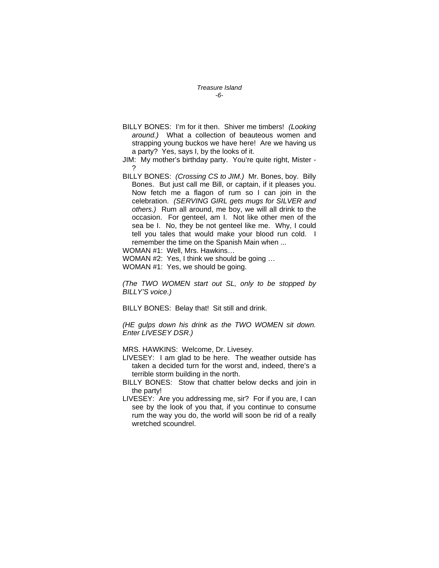#### *Treasure Island -6-*

BILLY BONES: I'm for it then. Shiver me timbers! *(Looking around.)* What a collection of beauteous women and strapping young buckos we have here! Are we having us a party? Yes, says I, by the looks of it.

JIM: My mother's birthday party. You're quite right, Mister - ?

- BILLY BONES: *(Crossing CS to JIM.)* Mr. Bones, boy. Billy Bones. But just call me Bill, or captain, if it pleases you. Now fetch me a flagon of rum so I can join in the celebration. *(SERVING GIRL gets mugs for SILVER and others.)* Rum all around, me boy, we will all drink to the occasion. For genteel, am I. Not like other men of the sea be I. No, they be not genteel like me. Why, I could tell you tales that would make your blood run cold. I remember the time on the Spanish Main when ...
- WOMAN #1: Well, Mrs. Hawkins…
- WOMAN #2: Yes, I think we should be going …
- WOMAN #1: Yes, we should be going.

*(The TWO WOMEN start out SL, only to be stopped by BILLY'S voice.)* 

BILLY BONES: Belay that! Sit still and drink.

*(HE gulps down his drink as the TWO WOMEN sit down. Enter LIVESEY DSR.)* 

MRS. HAWKINS: Welcome, Dr. Livesey.

- LIVESEY: I am glad to be here. The weather outside has taken a decided turn for the worst and, indeed, there's a terrible storm building in the north.
- BILLY BONES: Stow that chatter below decks and join in the party!
- LIVESEY: Are you addressing me, sir? For if you are, I can see by the look of you that, if you continue to consume rum the way you do, the world will soon be rid of a really wretched scoundrel.